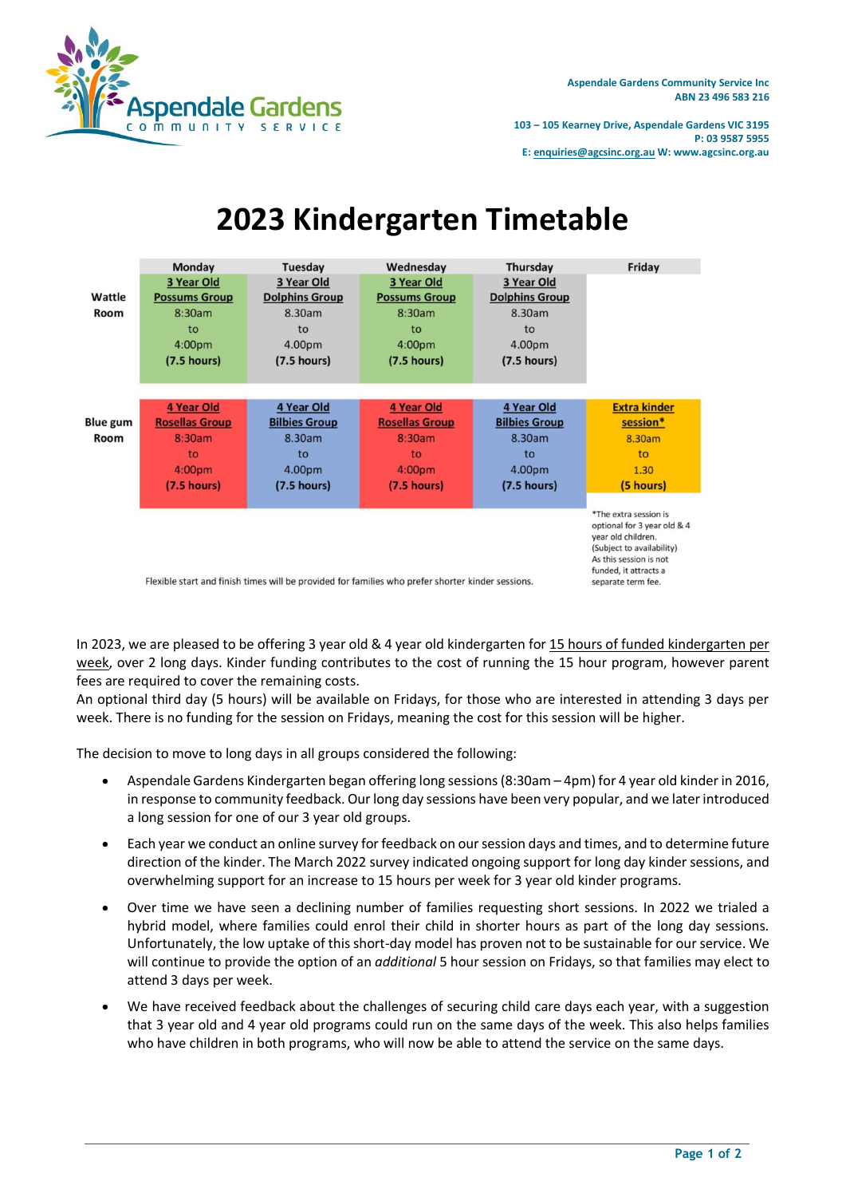

**103 – 105 Kearney Drive, Aspendale Gardens VIC 3195 P: 03 9587 5955 E[: enquiries@agcsinc.org.au](mailto:enquiries@agcsinc.org.au) W: www.agcsinc.org.au** 

## **2023 Kindergarten Timetable**

| Wattle<br>Room                                                                                    | <b>Monday</b><br>3 Year Old<br><b>Possums Group</b><br>8:30am<br>to<br>4:00 <sub>pm</sub><br>(7.5 hours) | <b>Tuesday</b><br>3 Year Old<br><b>Dolphins Group</b><br>8.30am<br>to<br>4.00pm<br>(7.5 hours) | Wednesday<br>3 Year Old<br><b>Possums Group</b><br>8:30am<br>to<br>4:00 <sub>pm</sub><br>(7.5 hours) | Thursday<br>3 Year Old<br><b>Dolphins Group</b><br>8.30am<br>to<br>4.00pm<br>(7.5 hours) | Friday                                                                                                                                                                           |
|---------------------------------------------------------------------------------------------------|----------------------------------------------------------------------------------------------------------|------------------------------------------------------------------------------------------------|------------------------------------------------------------------------------------------------------|------------------------------------------------------------------------------------------|----------------------------------------------------------------------------------------------------------------------------------------------------------------------------------|
| Blue gum<br>Room                                                                                  | <b>4 Year Old</b><br><b>Rosellas Group</b><br>8:30am<br>to<br>4:00 <sub>pm</sub><br>(7.5 hours)          | 4 Year Old<br><b>Bilbies Group</b><br>8.30am<br>to<br>4.00pm<br>(7.5 hours)                    | 4 Year Old<br><b>Rosellas Group</b><br>8:30am<br>to<br>$4:00p$ m<br>(7.5 hours)                      | 4 Year Old<br><b>Bilbies Group</b><br>8.30am<br>to<br>4.00pm<br>(7.5 hours)              | <b>Extra kinder</b><br>session*<br>8.30am<br>to<br>1.30<br>(5 hours)                                                                                                             |
| Flexible start and finish times will be provided for families who prefer shorter kinder sessions. |                                                                                                          |                                                                                                |                                                                                                      |                                                                                          | *The extra session is<br>optional for 3 year old & 4<br>vear old children.<br>(Subject to availability)<br>As this session is not<br>funded, it attracts a<br>separate term fee. |

In 2023, we are pleased to be offering 3 year old & 4 year old kindergarten for 15 hours of funded kindergarten per week, over 2 long days. Kinder funding contributes to the cost of running the 15 hour program, however parent fees are required to cover the remaining costs.

An optional third day (5 hours) will be available on Fridays, for those who are interested in attending 3 days per week. There is no funding for the session on Fridays, meaning the cost for this session will be higher.

The decision to move to long days in all groups considered the following:

- Aspendale Gardens Kindergarten began offering long sessions (8:30am 4pm) for 4 year old kinder in 2016, in response to community feedback. Our long day sessions have been very popular, and we later introduced a long session for one of our 3 year old groups.
- Each year we conduct an online survey for feedback on our session days and times, and to determine future direction of the kinder. The March 2022 survey indicated ongoing support for long day kinder sessions, and overwhelming support for an increase to 15 hours per week for 3 year old kinder programs.
- Over time we have seen a declining number of families requesting short sessions. In 2022 we trialed a hybrid model, where families could enrol their child in shorter hours as part of the long day sessions. Unfortunately, the low uptake of this short-day model has proven not to be sustainable for our service. We will continue to provide the option of an *additional* 5 hour session on Fridays, so that families may elect to attend 3 days per week.
- We have received feedback about the challenges of securing child care days each year, with a suggestion that 3 year old and 4 year old programs could run on the same days of the week. This also helps families who have children in both programs, who will now be able to attend the service on the same days.